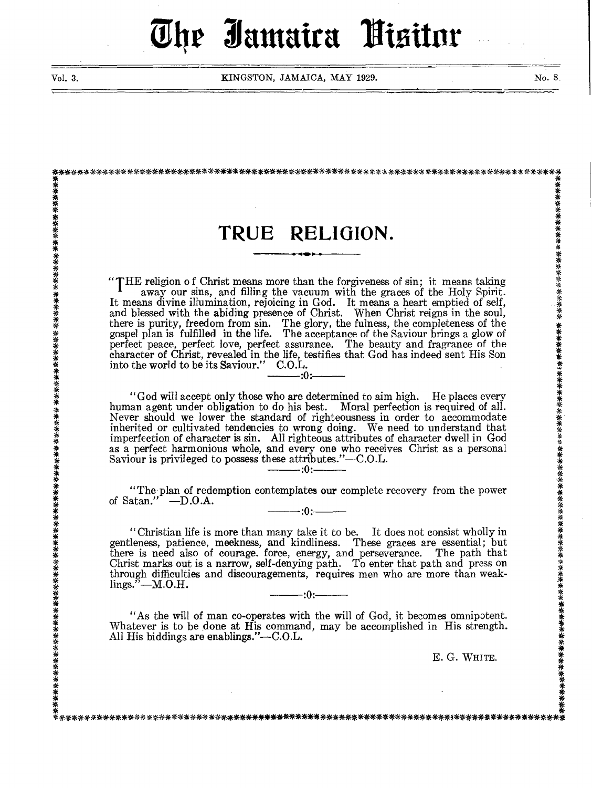# **DIT Jamaica 11"tailor**

Vol. 3. No. 8 KINGSTON, JAMAICA, MAY 1929.

## **TRUE RELIGION.**

\*\*\*\*\*\*\*\*\*\*\*\*\*\*\*\*\*\*\*\*\*\*\*\*\*\*\*\*\*\*\*\*\*\*\*\*\*\*\*\*\*\*\*\*\*\*\*\*\*\*\*\*\*\*\*\*\*\*\*\*\*\*\*\*\*\*\*\*\*\*\*\*\*\*\*\*\*\*\*A\*\* "THE religion o f Christ means more than the forgiveness of sin; it means taking away our sins, and filling the vacuum with the graces of the Holy Spirit. It means divine illumination, rejoicing in God. It means a heart emptied of self, and blessed with the abiding presence of Christ. When Christ reigns in the soul, there is purity, freedom from sin. The glory, the fulness, the completeness of the gospel plan is fulfilled in the life. The acceptance of the Saviour brings a glow of \* perfect peace, perfect love, perfect assurance. The beauty and fragrance of the \* character of Christ, revealed in the life, testifies that God has indeed sent His Son \* into the world to be its Saviour." C.O.L. \* \* :0: \*

"God will accept only those who are determined to aim high. He places every human agent under obligation to do his best. Moral perfection is required of all. Never should we lower the standard of righteousness in order to accommodate inherited or cultivated tendencies to wrong doing. We need to understand that imperfection of character is sin. All righteous attributes of character dwell in God \* as a perfect harmonious whole, and every one who receives Christ as a personal \* Saviour is privileged to possess these attributes."—C.O.L. \* :0:

> "The plan of redemption contemplates our complete recovery from the power of Satan."  $-D.0.A.$ :0:

\* "Christian life is more than many take it to be. It does not consist wholly in gentleness, patience, meekness, and kindliness. These graces are essential; but there is need also of courage. force, energy, and perseverance. The path that Christ marks out is a narrow, self-denying path. To enter that path and press on through difficulties and discouragements, requires men who are more than weak $lings.$ " $-M.O.H.$ *v* :0:

> "As the will of man co-operates with the will of God, it becomes omnipotent. Whatever is to be done at His command, may be accomplished in His strength. All His biddings are enablings."— $C.O.L.$

> > 4 \*\*\*\*\*\*\*\*\*\*\*\*\*\*\*\*\*\*\*\*\*\*\*\*\*\*\*\*\*\*\*rn\*\*\*\*\*\*\*\*\*\*\*\*\*\*\*\*\*\*\*\*\*\*\*\*4\*\*\*\*)\*\*\*\*\*\* \*\*\*\*\*\*\*\*\*\*\*\*

 $*$ <br> $\mathbb{E}$ . G. WHITE.

\* \* \* \* \* \*

**\* \*** 

\*<br>\*\*

\*\*\*

\*<br>\*\*

\* \* \*

\*\*\*\*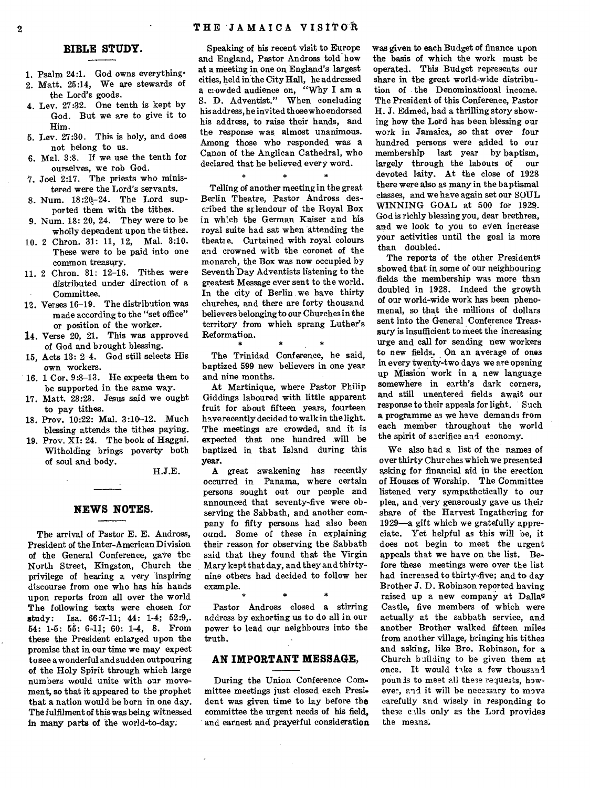#### 2 THE JAMAICA VISITOR

#### **BIBLE STUDY.**

- 1. Psalm 24:1. God owns everything•
- 2. Matt. 25:14, We are stewards of the Lord's goods.
- 4. Lev. 27:32. One tenth is kept by God. But we are to give it to Him.
- 5. Lev. 27:30. This is holy, and does not belong to us.
- 6. Mal. 3:8. If we use the tenth for ourselves, we rob God.
- 7. Joel 2:17. The priests who ministered were the Lord's servants.
- 8. Num. 18:20-24. The Lord supported them with the tithes.
- 9. Num. 18: 20, 24. They were to be wholly dependent upon the tithes.
- 10. 2 Chron. 31: 11, 12, Mal. 3:10. These were to be paid into one common treasury.
- 11. 2 Chron. 31: 12-16. Tithes were distributed under direction of a Committee.
- 12. Verses 16-19. The distribution was made according to the "set office" or position of the worker.
- 14. Verse 20, 21. This was approved of God and brought blessing.
- 15, Acts 13: 2-4. God still selects His own workers.
- 16. 1 Cor. 9:8-13. He expects them to be supported in the same way.
- 17. Matt. 23:23. Jesus said we ought to pay tithes.
- 18. Prov. 10:22: Mal. 3:10-12. Much blessing attends the tithes paying.
- 19. Prov. XI: 24. The book of Haggai. Witholding brings poverty both of soul and body.

H.J.E.

#### **NEWS NOTES.**

The arrival of Pastor E. E. Andross, President of the Inter-American Division of the General Conference, pare the North Street, Kingston, Church the privilege of hearing a very inspiring discourse from one who has his hands upon reports from all over the world The following texts were chosen for study: Isa.  $66:7-11$ :  $44$ :  $1-4$ ;  $52:9$ . 54: 1-5: 55: 6-11; 60: 1-4, 8. From these the President enlarged upon the promise that in our time we may expect to see a wonderful and sudden outpouring of the Holy Spirit through which large numbers would unite with our movement, so that it appeared to the prophet that a nation would be born in one day. The fulfilment of this was being witnessed in many parts of the world-to-day.

Speaking of his recent visit to Europe and England, Pastor Andross told how at a meeting in one on England's largest cities, held in the City Hall, he addressed a crowded audience on, "Why I am a S. D. Adventist." When concluding his address, he invited those who endorsed his address, to raise their hands, and the response was almost unanimous. Among those who responded was a Canon of the Anglican Cathedral, who declared that he believed every word.

 $\ast$ 

 $\bullet$ 

\*

Telling of another meeting in the great Berlin Theatre, Pastor Andross described the sr lendour of the Royal Box in which the German Kaiser and his royal suite had sat when attending the theatre. Curtained with royal colours and crowned with the coronet of the monarch, the Box was now occupied by Seventh Day Adventists listening to the greatest Message ever sent to the world. In the city of Berlin we have thirty churches, and there are forty thousand believers belonging to our Churches in the territory from which sprang Luther's Reformation. \* \* \*

The Trinidad Conference, he said, baptized 599 new believers in one year and nine months.

At Martinique, where Pastor Philip Giddings laboured with little apparent fruit for about fifteen years, fourteen have recently decided to walk in the light. The meetings are crowded, and it is expected that one hundred will be baptized in that Island during this year.

A great awakening has recently occurred in Panama, where certain persons sought out our people and announced that seventy-five were observing the Sabbath, and another company fo fifty persons had also been ound. Some *of* these in explaining their reason for observing the Sabbath said that they found that the Virgin Mary kept that day, and they and thirtynine others had decided to follow her example. \* \* \*

Pastor Andross closed a stirring address by exhorting us to do all in our power to lead our neighbours into the truth.

#### **AN IMPORTANT MESSAGE,**

During the Union Conference Com. mittee meetings just closed each Presi. dent was given time to lay before the committee the urgent needs of his field, and earnest and prayerful consideration

was given to each Budget of finance upon the basis of which the work must be operated. This Budget represents our share in the great world-wide distribution of the Denominational income. The President of this Conference, Pastor H. J. Edmed, had a thrilling story showing how the Lord has been blessing our work in Jamaica, so that over four hundred persons were added to our membership last year by baptism, largely through the labours of our devoted laity. At the close of 1928 there were also as many in the baptismal classes, and we have again set our SOUL WINNING GOAL at 500 for 1929. God is richly blessing you, dear brethren, and we look to you to even increase your activities until the goal is more than doubled.

The reports of the other Presidents showed that in some of our neighbouring fields the membership was more than doubled in 1928. Indeed the growth of our world-wide work has been phenomenal, so that the millions of dollars sent into the General Conference Treassury is insufficient to meet the increasing urge and call for sending new workers to new fields. On an average of ones in every twenty-two days we are opening up Mission work in a new language somewhere in earth's dark corners, and still unentered fields await our response to their appeals for light. Such a programme as we have demands from each member throughout the world the spirit of sacrifice and economy.

We also had a list of the names of over thirty Churches which we presented asking for financial aid in the erection of Houses of Worship. The Committee listened very sympathetically to our plea, and very generously gave us their share of the Harvest Ingathering for 1929-a gift which we gratefully appreciate. Yet helpful as this will be, it does not begin to meet the urgent appeals that we have on the list. Before these meetings were over the list had increased to thirty-five; and to-day Brother J. D. Robinson reported having raised up a new company at Dallas Castle, five members of which were actually at the sabbath service, and another Brother walked fifteen miles from another village, bringing his tithes and asking, like Bro. Robinson, for a Church building to be given them at once. It would take a few thousand poun is to meet all these requests, however, and it will be necessary to move carefully and wisely in responding to these calls only as the Lord provides the means,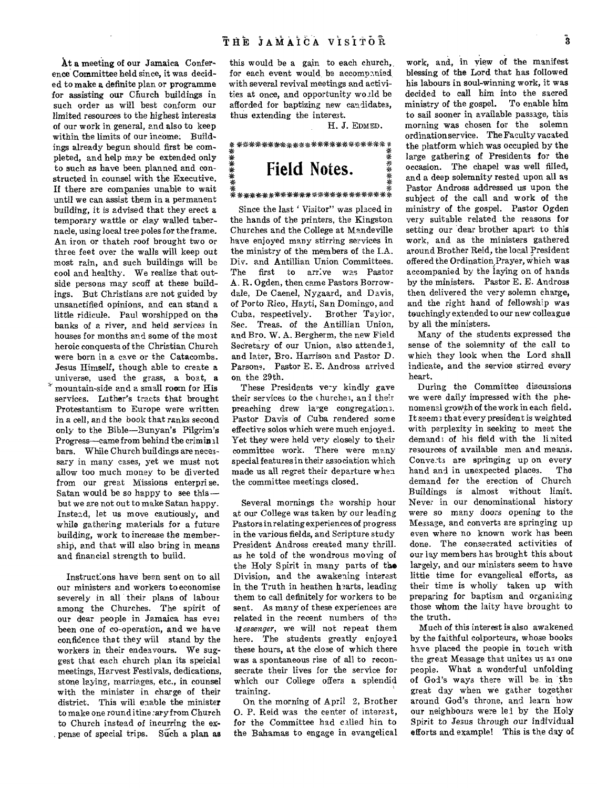At a meeting of our Jamaica Conference Committee held since, it was decided to make a definite plan or programme for assisting our Church buildings in such order as will best conform our limited resources to the highest interests of our work in general, and also to keep within the limits of our income. Buildings already begun should first be completed, and help may be extended only to such as have been planned and constructed in counsel with the Executive. If there are companies unable to wait until we can assist them in a permanent building, it is advised that they erect a temporary wattle or clay walled tabernacle, using local tree poles for the frame. An iron or thatch roof brought two or three feet over the walls will keep out most rain, and such buildings will be cool and healthy. We realize that outside persons may scoff at these buildings. But Christians are not guided by unsanctified opinions, and can stand a little ridicule. Paul worshipped on the banks of a river, and held services in houses for months and some of the most heroic conquests of the Christian Church were born in a cave or the Catacombs. Jesus Himself, though able to create a universe, used the grass, a boat, a mountain-side and a small room for His services. Luther's tracts that brought Protestantism to Europe were written in a cell, and the book that ranks second only to the Bible—Bunyan's Pilgrim's Progress—came from behind the criminal bars. While Church buildings are necessary in many cases, yet we must not allow too much money to be diverted from our great Missions enterpri se. Satan would be so happy to see this but we are not out to make Satan happy. Instead, let us move cautiously, and while gathering materials for a future building, work to increase the membership, and that will also bring in means and financial strength to build.

Instructions have been sent on to all our ministers and workers to economise severely in all their plans of labour among the Churches. The spirit of our dear people in Jamaica has ever been one of co-operation, and we have confidence that they will stand by the workers in their endeavours. We suggest that each church plan its speicial meetings, Harvest Festivals, dedications, stone laying, marriages, etc., in counsel with the minister in charge of their district. This will enable the minister to make one round itine:ary from Church to Church instead of incurring the ex- . pense of special trips. Such a plan as

this would be a gain to each church, for each event would be accompanied with several revival meetings and activities at once, and opportunity wo ild be afforded for baptizing new candidates, thus extending the interest.

H. J. EDMED.

## \* \*\*\*\*\*\* \*a\*\* \*\*\*\*\*At\*\*\*\*\*\* e **Field Notes.**

### \*<br>\*\*<del>\*\*\*\*\*\*\*\*\*\*\*\*</del>\*\*\*\*\*\*\*\*\*\*\*\*

Since the last ' Visitor" was placed in the hands of the printers, the Kingston Churches and the College at Mandeville have enjoyed many stirring services in the ministry of the members of the I.A. Div. and Antillian Union Committees. The first to arrive was Pastor A. R. Ogden, then came Pastors Borrowdale, De Caenel, Nygaard, and Davis, of Porto Rico, Hayti, San Domingo, and Cuba, respectively. Brother Taylor, Sec. Treas. of the Antillian Union, and Bro. W. A. Bergherm, the new Field Secretary of our Union, also attended, and later, Bro. Harrison and Pastor D. Parsons. Pastor E. E. Andross arrived on the 29th.

These Presidents very kindly gave their services to the churches, and their preaching drew large congregations. Pastor Davis of Cuba rendered some effective solos which were much enjoyed. Yet they were held very closely to their committee work. There were many special features in their association which made us all regret their departure when the committee meetings closed.

Several mornings the worship hour at our College was taken by our leading Pastors in relating experiences of progress in the various fields, and Scripture study President Andross created many thrill. as he told of the wondrous moving of the Holy Spirit in many parts of the Division, and the awakening interest in the Truth in heathen hearts, leading them to call definitely for workers to be sent. As many of these experiences are related in the recent numbers of the *tlessenger,* we will not repeat them here. The students greatly enjoyed these hours, at the close of which there was a spontaneous rise of all to reconsecrate their lives for the service for which our College offers a splendid training.

On the morning of April 2, Brother 0. P. Reid was the center of interest, for the Committee had called hin to the Bahamas to engage in evangelical

work, and, in view of the manifest blessing of the Lord that has followed his labours in soul-winning work, it was decided to call him into the sacred ministry of the gospel. To enable him to sail sooner in available passage, this morning was chosen for the solemn ordination service. The Faculty vacated the platform which was occupied by the large gathering of Presidents for the occasion. The chapel was well filled, and a deep solemnity rested upon all as Pastor Andross addressed us upon the subject of the call and work of the ministry of the gospel. Pastor Ogden very suitable related the reasons for setting our dear brother apart to this work, and as the ministers gathered around Brother Reid, the local President offered the Ordination Prayer, which was accompanied by the laying on of hands by the ministers. Pastor E. E. Andross then delivered the very solemn charge, and the right hand of fellowship was touchingly extended to our new colleague by all the ministers.

Many of the students expressed the sense of the solemnity of the call to which they look when the Lord shall indicate, and the service stirred every heart.

During the Committee discussions we were daily impressed with the phenomenal growth of the work in each field. It seems that every president is weighted with perplexity in seeking to meet the demands of his field with the limited resources of available men and means. Converts are springing up on every<br>hand and in unexpected places. The hand and in unexpected places. demand for the erection of Church Buildings is almost without limit. Never in our denominational history were so *many* doors opening to the Message, and converts are springing up even where no known work has been done. The consecrated activities of our lay members has brought this about largely, and our ministers seem to have little time for evangelical efforts, as their time is wholly taken up with preparing for baptism and organizing those whom the laity have brought to the truth.

Much of this interest is also awakened by the faithful colporteurs, whose books have placed the people in touch with the great Message that unites us as one people. What a wonderful unfolding of God's ways there will be in the great day when we gather together around God's throne, and learn how our neighbours were lei by the Holy Spirit to Jesus through our individual efforts and example! This is the day of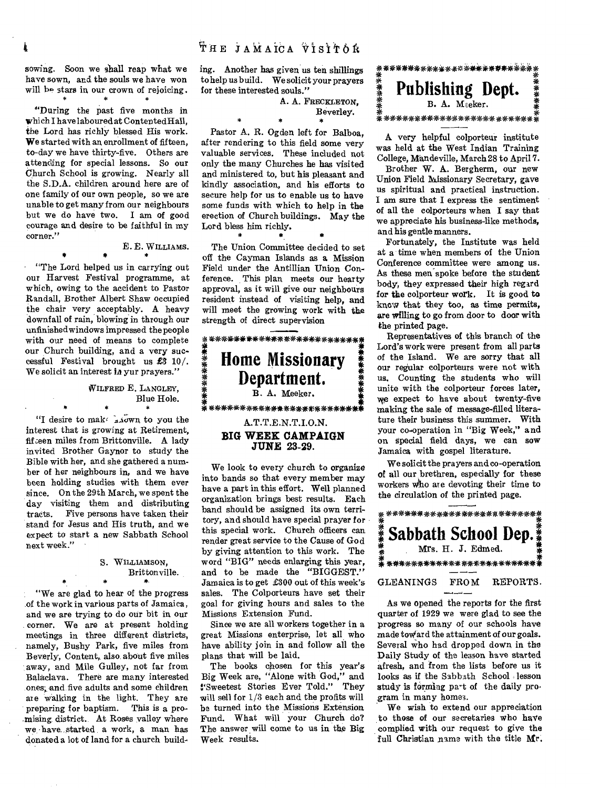sowing. Soon we shall reap what we have sown, and the souls we have won will be stars in our crown of rejoicing.

"During the past five months in which I have laboured at ContentedHall, the Lord has richly blessed His work. We started with an enrollment of fifteen, to-day we have thirty-five. Others are attending for special lessons. So our Church School is growing. Nearly all the S.D.A. children around here are of one family of our own people, so we are unable to get many from our neighbours but we do have two. I am of good courage and desire to be faithful in my corner."

### E. E. WILLIAMS.

"The Lord helped us in carrying out our Harvest Festival programme, at which, owing to the accident to Pastor Randall, Brother Albert Shaw occupied the chair very acceptably. A heavy downfall of rain, blowing in through our unfinished windows impressed the people with our need of means to complete our Church building, and a very successful Festival brought us  $\pounds 3$  10/. We solicit an interest in yur prayers."

> WILFRED E. LANGLEY, Blue Hole. \* \*

"I desire to make  $x \overline{y}$  own to you the interest that is growing at Retirement, fifteen miles from Brittonville. A lady invited Brother Gaynor to study the Bible with her, and she gathered a number of her neighbours in, and we have been holding studies with them ever since. On the 29th March, we spent the day visiting them and distributing tracts. Five persons have taken their stand for Jesus and His truth, and we expect to start a new Sabbath School next week."

#### S. WILLIAMSON, Brittonville.

"We are glad to hear of the progress .of the work in various parts of Jamaica, and we are trying to do our bit in our corner. We are at present holding meetings in three different districts, namely, Bushy Park, five miles from Beverly, Content, also about five miles away, and Mile Gulley, not far from Balaclava. There are many interested ones; and five adults and some children ate walking in the light. They are preparing for baptism. This is a pro mising district. At Roses valley where we have started a work, a man has donated a lot of land for a church building. Another has given us ten shillings to help us build. We solicit your prayers for these interested souls."

> A. A. FRECKLETON. Beverley.

Pastor A. R. Ogden left for Balboa, after rendering to this field some very valuable services. These included not only the many Churches he has visited and ministered to, but his pleasant and kindly association, and his efforts to secure help for us to enable us to have some funds with which to help in the erection of Church buildings. May the Lord bless him richly.

The Union Committee decided to set off the Cayman Islands as a Mission Field under the Antillian Union Conference. This plan meets our hearty approval, as it will give our neighbours resident instead of visiting help, and will meet the growing work with the strength of direct supervision



have a part in this effort. Well planned organization brings best results. Each band should be assigned its own territory, and should have special prayer for this special work. Church officers can render great service to the Cause of God by giving attention to this work. The word "BIG" needs enlarging this year, and to be made the "BIGGEST." Jamaica is to get £300 out of this week's sales. The Colporteurs have set their goal for giving hours and sales to the Missions Extension Fund.

Since we are all workers together in a great Missions enterprise, let all who have ability join in and follow all the plans that will be laid.

The books chosen for this year's Big Week are, "Alone with God," and rSweetest Stories Ever Told." They will sell for  $1/3$  each and the profits will be turned into the Missions Extension Fund. What will your Church do? The answer will come to us in the Big Week results.



A very helpful colporteur institute was held at the West Indian Training College, Mandeville, March 28 to April 7.

Brother W. A. Bergherm, our new Union Field Missionary Secretary, gave us spiritual and practical instruction. I am sure that I express the sentiment of all the colporteurs when I say that we appreciate his business-like methods, and his gentle manners.

Fortunately, the Institute was held at a time when members of the Union Conference committee were among us. As these men spoke before the student body, they expressed their high regard for the colporteur work. It is good to knew that they too, as time permits, are willing to go from door to door with the printed page.

Representatives of this branch of the Lord's work were present from all parts of the Island. We are sorry that all our regular colporteurs were not with us. Counting the students who will unite with the colporteur forces later, we expect to have about twenty-five making the sale of message-filled literature their business this summer. With your co-operation in "Big Week," and on special field days, we can sow Jamaica with gospel literature.

We solicit the prayers and co-operation of all our brethren, especially for these workers who are devoting their time to the circulation of the printed page.



As we opened the reports for the first quarter of 1929 we were glad to see the progress so many of our schools have made toWard the attainment of our goals. Several who had dropped down in the Daily Study of the lesson have started afresh, and from the lists before us it looks as if the Sabbath School lesson study is forming part of the daily pro. gram in many homes.

We wish to extend our appreciation to those of our secretaries who have complied with our request to give the full Christian name with the title Mr.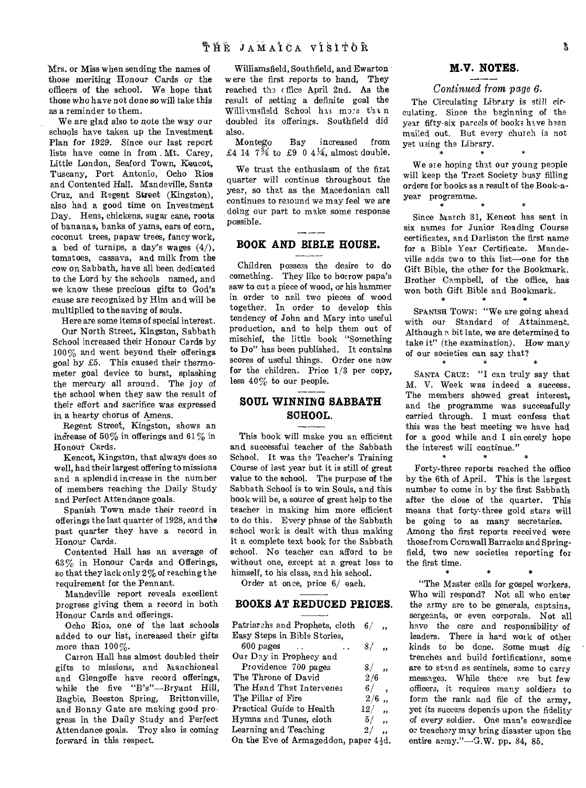Mrs. or Miss when sending the names of those meriting Honour Cards or the officers of the school. We hope that those who have not done so will take this as a reminder to them.

We are glad also to note the way our schools have taken up the Investment Plan for 1929. Since our last report lists have come in from Mt. Carey, Little London, Seaford Town, Keucot, Tuscany, Port Antonio, Ocho Rios and Contented Hall. Mandeville, Santa Cruz, and Regent Street (Kingston), also had a good time on Investment Day. Hens, chickens, sugar cane, roots of bananas, banks of yams, ears of corn, coconut trees, papaw trees, fancy work, a bed of turnips, a day's wages  $(4)$ , tomatoes, cassava, and milk from the cow on Sabbath, have all been dedicated to the Lord by the schools named, and we know these precious gifts to God's cause are recognized by Him and will be multiplied to the saving of souls.

Here are some items of special interest.

Our North Street, Kingston, Sabbath School increased their Honour Cards by  $100\%$  and went beyond their offerings goal by £5. This caused their thermometer goal device to burst, splashing the mercury all around. The joy of the school when they saw the result of their effort and sacrifice was expressed in a hearty chorus of Amens.

Regent Street, Kingston, shows an indrease of  $50\%$  in offerings and  $61\%$  in Honour Cards.

Kencot, Kingston, that always does so well, had their largest offering to missions and a splendid increase in the number of members reaching the Daily Study and Perfect Attendance goals.

Spanish Town made their record in offerings the last quarter of 1928, and the past quarter they have a record in Honour Cards.

Contented Hall has an average of 63% in Honour Cards and Offerings, so that they lack only 2% of reaching the requirement for the Pennant.

Mandeville report reveals excellent progress giving them a record in both Honour Cards and offerings.

Ocho Rios, one of the last schools added to our list, increased their gifts more than  $100\%$ .

Carron Hall has almost doubled their gifts to missions, and Manchioneal and Glengoffe have record offerings, while the five "B's"—Bryant Hill, Bagbie, Beeston Spring, Brittonville, and Bonny Gate are making good progress in the Daily Study and Perfect Attendance goals. Troy also is coming forward in this respect.

Williamsfield, Southfield, and Ewarton were the first reports to hand, They reached the (flice April 2nd. As the result of setting a definite goal the Williamsfield School has more than doubled its offerings. Southfield did also.

Montego Bay increased from £4 14 7<sup>3</sup>⁄4 to £9 0 4<sup>1</sup>⁄4, almost double.

We trust the enthusiasm of the first quarter will continue throughout the year, so that as the Macedonian call continues to resound we may feel we are doing our part to make some response possible.

#### **BOOK AND BIBLE HOUSE.**

Children possess the desire to do comething. They like to borrow papa's saw to cut a piece of wood, or his hammer in order to nail two pieces of wood together. In order to develop this tendency of John and Mary into useful production, and to help them out of mischief, the little book "Something to Do" has been published. It contains scores of useful things. Order one now for the children. Price 1/3 per copy, less  $40\%$  to our people.

#### SOUL **WINNING SABBATH SCHOOL.**

This book will make you an efficient and successful teacher of the Sabbath School. It was the Teacher's Training Course of last year but it is still of great value to the school. The purpose of the Sabbath School is to win Souls, and this book will be, a source of great help to the teacher in making him more efficient to do this. Every phase of the Sabbath school work is dealt with thus making it a complete text book for the Sabbath school. No teacher can afford to be without one, except at a great loss to himself, to his class, and his school.

Order at once, price 6/ each.<br> **OOKS AT PEDIMED PP** 

# **BOOKS AT REDUCED PRICES.**<br> **Patriarchs and Prophets cloth.**  $\mathcal{L}/$

| Patriarchs and Prophets, cloth<br>Easy Steps in Bible Stories.   | 6/      |               |
|------------------------------------------------------------------|---------|---------------|
| $600 \text{ pages}$<br>$\sim$                                    | 87      |               |
| Our Day in Prophecy and                                          |         |               |
| Providence 700 pages                                             | $8/$ .  |               |
| The Throne of David                                              | 2/6     |               |
| The Hand That Intervenes                                         | 6/      |               |
| The Pillar of Fire                                               | 2/6     |               |
| Practical Guide to Health                                        | $12/$ . |               |
| Hymns and Tunes, cloth                                           | 57      | $\cdot$ ,     |
| Learning and Teaching                                            | 27      | $\rightarrow$ |
| On the Eve of Armageddon, paper 4 <sup>1</sup> / <sub>3</sub> d. |         |               |

#### **M.V. NOTES.**

#### *Continued from page 6.*

The Circulating Library is still circulating. Since the beginning of the year fifty-six parcels of books have been mailed out. But every church is not yet using the Library.

We are hoping that our young people will keep the Tract Society busy filling orders for books as a result of the Book-ayear programme. \* \* \*

Since March 31, Kencot has sent in six names for Junior Reading Course certificates, and Darliston the first name for a Bible Year Certificate. Mandeville adds two to this list—one for the Gift Bible, the other for the Bookmark. Brother Campbell, of the office, has won both Gift Bible and Bookmark.<br>\* \* \* \* \*

SPANISH TOWN: "We are going ahead with our Standard of Attainment. Although a bit late, we are determined to take it" (the examination). How many of our societies can say that? \* \* \*

SANTA CRUZ: "I can truly say that M. V. Week was indeed a success. The members showed great interest, and the programme was successfully carried through. I must confess that this was the best meeting we have had for a good while and I sincerely hope the interest will continue."<br> $*$ 

Forty-three reports reached the office by the 6th of April. This is the largest number to come in by the first Sabbath after the close of the quarter. This means that forty- three gold stars will be going to as many secretaries. Among the first reports received were those from Cornwall Barracks and Springfield, two new societies reporting for the first time. \* \* \*

"The Master calls for gospel workers. Who will respond? Not all who enter the army are to be generals, captains, sergeants, or even corporals. Not all have the care and responsibility of leaders. There is hard work of other kinds to be done. Some must dig trenches and build fortifications, some are to stand as sentinels, some to carry messages. While there are but few officers, it requires many soldiers to form the rank and file of the army, yet its success depends upon the fidelity of every soldier. One man's cowardice Or treachery may bring disaster upon the entire army."—G.W. pp. 84, 85.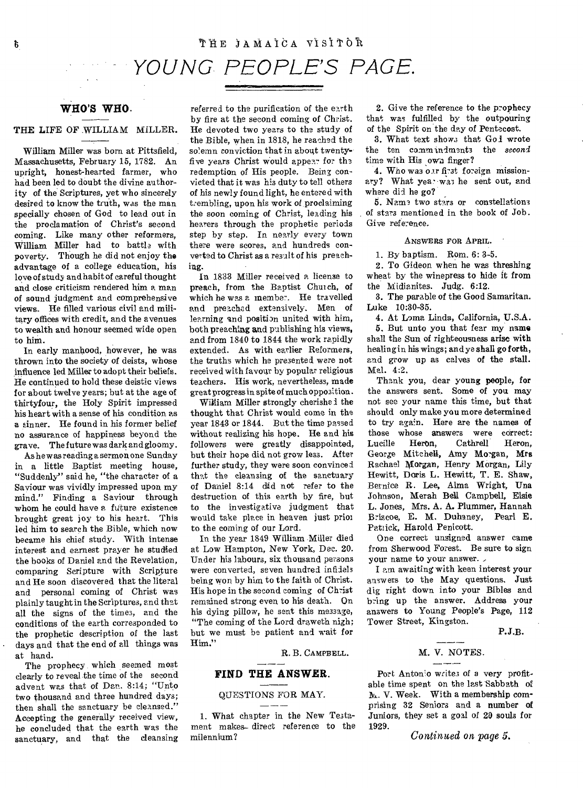#### **WHO'S WHO.**

## **THE LIFE OF WILLIAM MILLER.**

William Miller was born at Pittsfield, Massachusetts, February 15, 1782. An upright, honest-hearted farmer, who had been led to doubt the divine authority of the Scriptures, yet who sincerely desired to know the truth, was the man specially chosen of God to lead out in the proclamation of Christ's second coming. Like many other reformers, William Miller had to battle with poverty. Though he did not enjoy the advantage of a college education, his love of study and habit of careful thought and close criticism rendered him a man of sound judgment and comprehensive views. He filled various civil and military offices with credit, and the avenues to wealth and honour seemed wide open to him.

In early manhood, however, he was thrown into the society of deists, whose influence led Miller to adopt their beliefs. He continued to hold these deistic views for about twelve years; but at the age of thirtyfour, the Holy Spirit impressed his heart with a sense of his condition as a sinner. He found in his former belief no assurance of happiness beyond the grave. The future was dark and gloomy.

As hew as reading a sermon one Sunday in a little Baptist meeting house, "Suddenly" said he, "the character of a Saviour was vividly impressed upon my mind." Finding a Saviour through whom he could have a future existence brought great joy to his heart. This led him to search the Bible, which now became his chief study. With intense interest and earnest prayer he studied the books of Daniel and the Revelation, comparing Scripture with Scripture and He soon discovered that the literal and personal coming of Christ was plainly taught in the Scriptures, and that all the signs of the times, and the conditions of the earth corresponded to the prophetic description of the last days and that the end of all things was at hand.

The prophecy which seemed moat clearly to reveal the time of the second advent was that of Dan. 8:14; "Unto two thousand and three hundred days; then shall the sanctuary be cleansed." Accepting the generally received view, he concluded that the earth was the sanctuary, and that the cleansing

referred to the purification of the earth by fire at the second coming of Christ. He devoted two years to the study of the Bible, when in 1818, he reached the solemn conviction that in about twentyfive years Christ Would appear for the redemption of His people. Being convicted that it was his duty to tell others of his newly found light, he entered with trembling, upon his work of proclaiming the soon coming of Christ, leading his hearers through the prophetic periods step by step. In nearly every town there were scores, and hundreds converted to Christ as a result of his preaching.

In 1833 Miller received a license to preach, from the Baptist Church, of which he was a member. He travelled and preached extensively. Men of learning and position united with him, both preaching and publishing his views, and from 1840 to 1844 the work rapidly extended. As with earlier Reformers, the truths which he presented were not received with favour by popular religious teachers. His work, nevertheless, made great progress in spite of much opposition .

William Miller strongly cherished the thought that Christ would come in the year 1843 or 1844. But the time passed without realizing his hope. He and his followers were greatly disappointed, but their hope did not grow less. After further study, they were soon convinced that the cleansing of the sanctuary of Daniel 8:14 did not refer to the destruction of this earth by fire, but to the investigative judgment that would take place in heaven just prior to the coming of our Lord.

In the year 1849 William Miller died at Low Hampton, New York, Dec. 20. Under his labours, six thousand persons were converted, seven hundred infidels being won by him to the faith of Christ. His hope in the second coming of Christ remained strong even to his death. On his dying pillow, he sent this message, "The coming of the Lord draweth nigh; but we must be patient and wait for Him."

R. B. CAMPBELL.

### **FIND THE ANSWER.**  QUESTIONS FOR MAY.

— — 1. What chapter in the New Testament makes- direct reference to the milennium?

2. Give the reference to the prophecy that was fulfilled by the outpouring of the Spirit on the day of Pentecost.

3. What text shows that God wrote the ten commandments the *second*  time with His own finger?

4. Who was our first foreign missionary? What yea was he sent out, and where did he go?

5. Name two stars or constellations of stars mentioned in the book of Job. Give reference.

#### ANSWERS FOR APRIL.

1. By baptism. Rom. 6: 3-5.

2. To Gideon when he was threshing wheat by the winepress to hide it from the Midianites. Judg. 6:12.

3. The parable of the Good Samaritan. Luke 10:30-35.

4. At Loma Linda, California, U.S.A. 5. But unto you that fear my name shall the Sun of righteousness arise with healing in his wings; and ye shall go forth, and grow up as calves of the stall. Mal. 4:2.

Thank you, dear young people, for the answers sent. Some of you may not see your name this time, but that should only make you more determined to try again. Here are the names of those whose answers were correct:<br>Lucille Heron, Cathrell Heron, Cathrell George Mitchell, Amy Morgan, Mrs Rachael Morgan, Henry Morgan, Lily Hewitt, Doris L. Hewitt, T. E. Shaw, Bernice R. Lee, Alma Wright, Una Johnson, Merah Dell Campbell, Elsie L. Jones, Mrs. A. A. Plummer, Hannah Briscoe, E. M. Duhaney, Pearl E. Patiick, Harold Penicott.

One correct unsigned answer came from Sherwood Forest. Be sure to sign your name to your answer.

I am awaiting with keen interest your answers to the May questions. Just dig right down into your Bibles and bring up the answer. Address your answers to Young People's Page, 112 Tower Street, Kingston.

P.J.B.

# M. V. NOTES.

Port Antonio writes of a very profitable time spent on the last Sabbath of M. V. Week. With a membership comprising 32 Seniors and a number of Juniors, they set a goal of 20 souls for 1929.

*Continued on page 5.*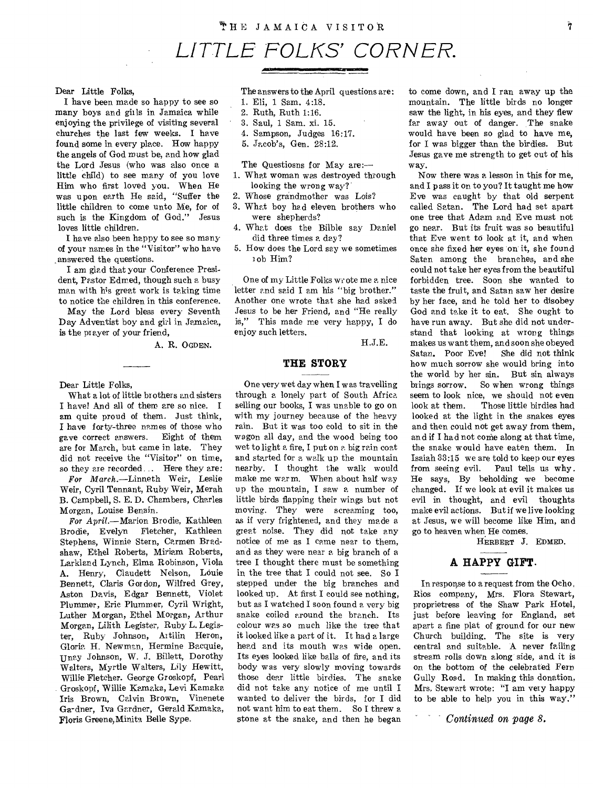#### Dear Little Folks,

I have been made so happy to see so many boys and girls in Jamaica while enjoying the privilege of visiting several churches the last few weeks. I have found some in every place. How happy the angels of God must be, and how glad the Lord Jesus (who was also once a little child) to see many of you love Him who first loved you. When He was upon earth He said, "Suffer the little children to come unto Me, for of such is the Kingdom of God." Jesus loves little children.

I have also been happy to see so many of your names in the "Visitor" who have answered the questions.

I am glad that your Conference President, Pastor Edmed, though such a busy man with his great work is taking time to notice the children in this conference.

May the Lord bless every Seventh Day Adventist boy and girl in Jamaica, is the prayer of your friend,

A. R. OGDEN.

#### Dear Little Folks,

What a lot of little brothers and sisters I have! And all of them are so nice. I am quite proud of them. Just think, I have forty-three names of those who gave correct answers. Eight of them are for March, but came in late. They did not receive the "Visitor" on time, so they are recorded... Here they are: *For March.—Linneth* Weir, Leslie Weir, Cyril Tennant, Ruby Weir, Merah B. Campbell, S. E. D. Chambers, Charles Morgan, Louise Benain.

*For April.—Marion* Brodie, Kathleen Brodie, Evelyn Fletcher, Kathleen Stephens, Winnie Stern, Carmen Bradshaw, Ethel Roberts, Miriam Roberts, Larkland Lynch, Elma Robinson, Viola A. Henry, Claudett Nelson, Louie Bennett, Claris Gordon, Wilfred Grey, Aston Davis, Edgar Bennett, Violet Plummer, Eric Plummer, Cyril Wright, Luther Morgan, Ethel Morgan, Arthur Morgan, Lilith Legister, Ruby L. Legister, Ruby Johnson, Artilin Heron, Gloria H. Newman, Hermine Bacquie, unay Johnson, W. J. Billett, Dorothy Walters, Myrtle Walters, Lily Hewitt, Willie Fletcher. George Groskopf, Pearl Groskopf, Willie Kamaka, Levi Kamaka Iris Brown, Calvin Brown, Vinenete Ga-dner, Iva Gardner, Gerald Kamaka, Floris Greene,Minits Belle Sype.

The answers to the April questions are:

- 1. Eli, 1 Sam. 4:18.
- 2. Ruth, Ruth 1:16.
- 3. Saul, 1 Sam. xi. 15.
- 4. Sampson, Judges 16:17.
- 5. Jacob's, Gen. 28:12.

The Questiosns for May are:-

- 1. What woman was destroyed through looking the wrong way?
- 2. Whose grandmother was Lois?
- 3. What boy had eleven brothers who were shepherds?
- 4. What does the Bilble say Daniel did three times a day?
- 5. How does the Lord say we sometimes rob Him?

One of my Little Folks wrote me a nice letter and said I am his "big brother." Another one wrote that she had asked Jesus to be her Friend, and "He really is," This made me very happy, I do enjoy such letters.

H.J.E.

#### **THE STORY**

**One** very wet day when I was travelling through a lonely part of South Africa, selling our books, I was unable to go on with my journey because of the heavy rain. But it was too cold to sit in the wagon all day, and the wood being too wet to light a fire, I put on a big rain coat and started for a walk up the mountain nearby. I thought the walk would make me warm. When about half way up the mountain, I saw a number of little birds flapping their wings but not moving. They were screaming too, as if very frightened, and they made a great noise. They did not take any notice of me as I came near to them, and as they were near a big branch of a tree I thought there must be something in the tree that I could not see. So I stepped under the big branches and looked up. At first I could see nothing, but as I watched I soon found a very big snake coiled around the branch. Its colour was so much like the tree that it looked like a part of it. It had a large head and its mouth was wide open. Its eyes looked like balls of fire, and its body was very slowly moving towards those dear little birdies. The snake did not take any notice of me until I wanted to deliver the birds, for I did not want him to eat them. So I threw a stone at the snake, and then he began

to come down, and I ran away up the mountain. The little birds no longer saw the light, in his eyes, and they flew far away out of danger. The snake would have been so glad to have me, for I was bigger than the birdies. But Jesus gave me strength to get out of his way.

Now there was a lesson in this for me, and I pass it on to you? It taught me how Eve was caught by that old serpent called Satan. The Lord had set apart one tree that Adam and Eve must not go near. But its fruit was so beautiful that Eve went to look at it, and when once she fixed her eyes on it, she found Satan among the branches, and she could not take her eyes from the beautiful forbidden tree. Soon she wanted to taste the fruit, and Satan saw her desire by her face, and he told her to disobey God and take it to eat. She ought to have run away. But she did not understand that looking at wrong things makes us want them, and soon she obeyed Satan. Poor Eve! She did not think how much sorrow she would bring into the world by her sin. But sin always brings sorrow. So when wrong things seem to look nice, we should not even<br>look at them. Those little birdies had Those little birdies had looked at the light in the snakes eyes and then could not get away from them, and if I had not cone along at that time, the snake would have eaten them. In Isaiah 33:15 we are told to keep our eyes from seeing evil. Paul tells us why . He says, By beholding we become changed. If we look at evil it makes us evil in thought, and evil thoughts make evil actions. But if we live looking at Jesus, we will become like Him, and go to heaven when He comes.

HERBERT **J. EDMED.**<br> **HERBERT J. EDMED.**<br> **DDY. CLEW** 

#### A **HAPPY GIFT.**

In response to a request from the Ocho, Rios company, Mrs. Flora Stewart, proprietress of the Shaw Park Hotel, just before leaving for England, set apart a fine plat of ground for our new Church building. The site is very central and suitable. A never failing stream rolls down along side, and it is on the bottom of the celebrated Fern Gully Road. In making this donation, Mrs. Stewart wrote: "I am very happy to be able to help you in this way."

*Continued on page 8.*